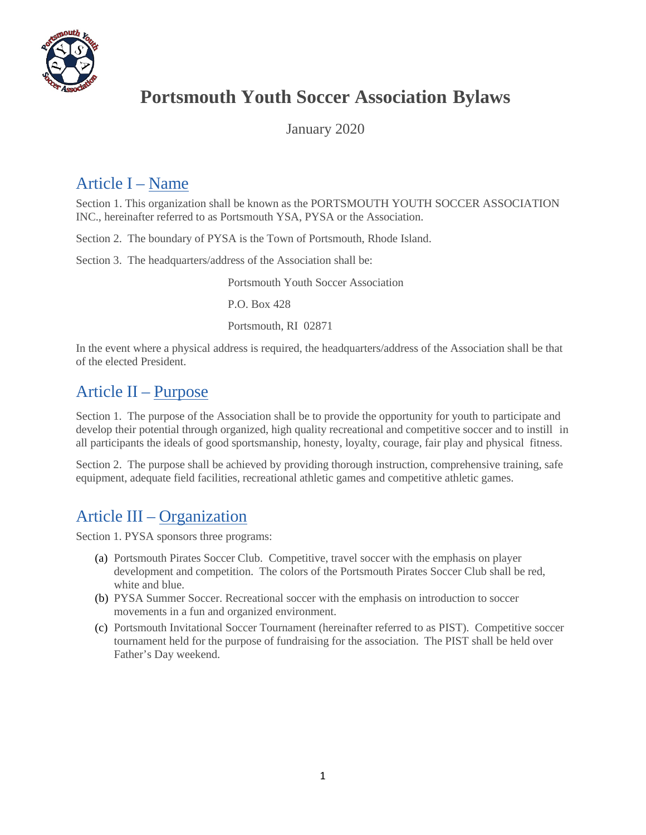

# **Portsmouth Youth Soccer Association Bylaws**

January 2020

## Article I – Name

Section 1. This organization shall be known as the PORTSMOUTH YOUTH SOCCER ASSOCIATION INC., hereinafter referred to as Portsmouth YSA, PYSA or the Association.

Section 2. The boundary of PYSA is the Town of Portsmouth, Rhode Island.

Section 3. The headquarters/address of the Association shall be:

Portsmouth Youth Soccer Association

P.O. Box 428

Portsmouth, RI 02871

In the event where a physical address is required, the headquarters/address of the Association shall be that of the elected President.

## Article II – Purpose

Section 1. The purpose of the Association shall be to provide the opportunity for youth to participate and develop their potential through organized, high quality recreational and competitive soccer and to instill in all participants the ideals of good sportsmanship, honesty, loyalty, courage, fair play and physical fitness.

Section 2. The purpose shall be achieved by providing thorough instruction, comprehensive training, safe equipment, adequate field facilities, recreational athletic games and competitive athletic games.

## Article III – Organization

Section 1. PYSA sponsors three programs:

- (a) Portsmouth Pirates Soccer Club. Competitive, travel soccer with the emphasis on player development and competition. The colors of the Portsmouth Pirates Soccer Club shall be red, white and blue.
- (b) PYSA Summer Soccer. Recreational soccer with the emphasis on introduction to soccer movements in a fun and organized environment.
- (c) Portsmouth Invitational Soccer Tournament (hereinafter referred to as PIST). Competitive soccer tournament held for the purpose of fundraising for the association. The PIST shall be held over Father's Day weekend.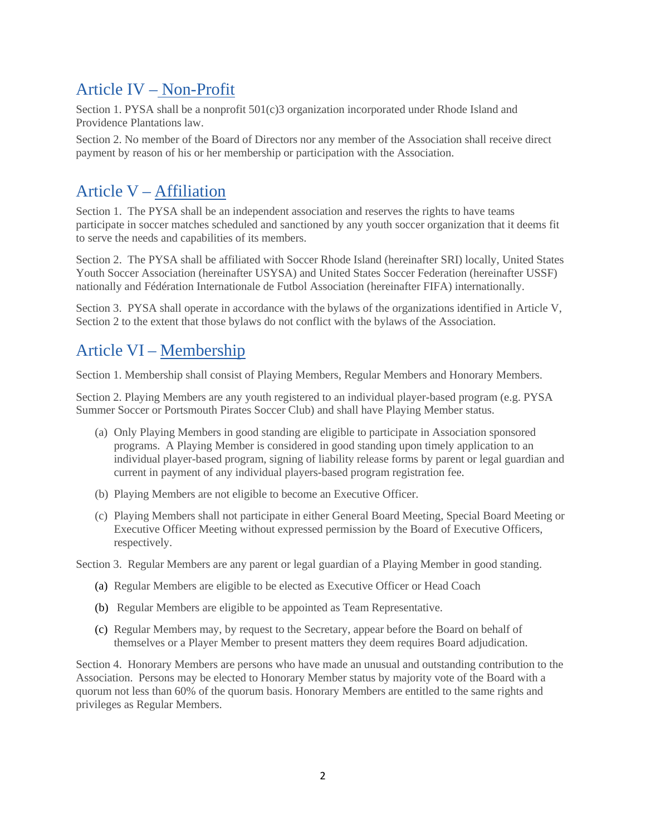## Article IV – Non-Profit

Section 1. PYSA shall be a nonprofit  $501(c)3$  organization incorporated under Rhode Island and Providence Plantations law.

Section 2. No member of the Board of Directors nor any member of the Association shall receive direct payment by reason of his or her membership or participation with the Association.

# Article V – Affiliation

Section 1. The PYSA shall be an independent association and reserves the rights to have teams participate in soccer matches scheduled and sanctioned by any youth soccer organization that it deems fit to serve the needs and capabilities of its members.

Section 2. The PYSA shall be affiliated with Soccer Rhode Island (hereinafter SRI) locally, United States Youth Soccer Association (hereinafter USYSA) and United States Soccer Federation (hereinafter USSF) nationally and Fédération Internationale de Futbol Association (hereinafter FIFA) internationally.

Section 3. PYSA shall operate in accordance with the bylaws of the organizations identified in Article V, Section 2 to the extent that those bylaws do not conflict with the bylaws of the Association.

#### Article VI – Membership

Section 1. Membership shall consist of Playing Members, Regular Members and Honorary Members.

Section 2. Playing Members are any youth registered to an individual player-based program (e.g. PYSA Summer Soccer or Portsmouth Pirates Soccer Club) and shall have Playing Member status.

- (a) Only Playing Members in good standing are eligible to participate in Association sponsored programs. A Playing Member is considered in good standing upon timely application to an individual player-based program, signing of liability release forms by parent or legal guardian and current in payment of any individual players-based program registration fee.
- (b) Playing Members are not eligible to become an Executive Officer.
- (c) Playing Members shall not participate in either General Board Meeting, Special Board Meeting or Executive Officer Meeting without expressed permission by the Board of Executive Officers, respectively.

Section 3. Regular Members are any parent or legal guardian of a Playing Member in good standing.

- (a) Regular Members are eligible to be elected as Executive Officer or Head Coach
- (b) Regular Members are eligible to be appointed as Team Representative.
- (c) Regular Members may, by request to the Secretary, appear before the Board on behalf of themselves or a Player Member to present matters they deem requires Board adjudication.

Section 4. Honorary Members are persons who have made an unusual and outstanding contribution to the Association. Persons may be elected to Honorary Member status by majority vote of the Board with a quorum not less than 60% of the quorum basis. Honorary Members are entitled to the same rights and privileges as Regular Members.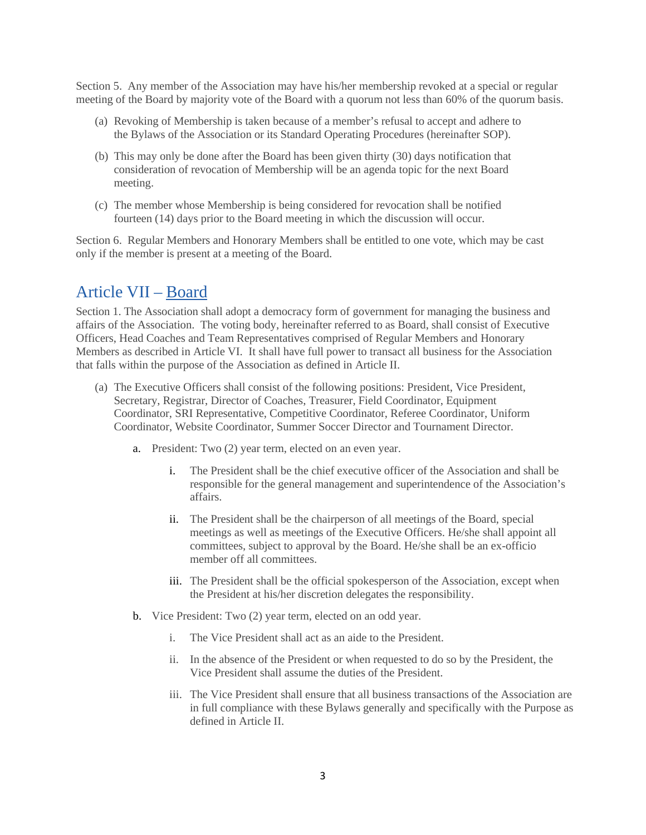Section 5. Any member of the Association may have his/her membership revoked at a special or regular meeting of the Board by majority vote of the Board with a quorum not less than 60% of the quorum basis.

- (a) Revoking of Membership is taken because of a member's refusal to accept and adhere to the Bylaws of the Association or its Standard Operating Procedures (hereinafter SOP).
- (b) This may only be done after the Board has been given thirty (30) days notification that consideration of revocation of Membership will be an agenda topic for the next Board meeting.
- (c) The member whose Membership is being considered for revocation shall be notified fourteen (14) days prior to the Board meeting in which the discussion will occur.

Section 6. Regular Members and Honorary Members shall be entitled to one vote, which may be cast only if the member is present at a meeting of the Board.

#### Article VII – Board

Section 1. The Association shall adopt a democracy form of government for managing the business and affairs of the Association. The voting body, hereinafter referred to as Board, shall consist of Executive Officers, Head Coaches and Team Representatives comprised of Regular Members and Honorary Members as described in Article VI. It shall have full power to transact all business for the Association that falls within the purpose of the Association as defined in Article II.

- (a) The Executive Officers shall consist of the following positions: President, Vice President, Secretary, Registrar, Director of Coaches, Treasurer, Field Coordinator, Equipment Coordinator, SRI Representative, Competitive Coordinator, Referee Coordinator, Uniform Coordinator, Website Coordinator, Summer Soccer Director and Tournament Director.
	- a. President: Two (2) year term, elected on an even year.
		- i. The President shall be the chief executive officer of the Association and shall be responsible for the general management and superintendence of the Association's affairs.
		- ii. The President shall be the chairperson of all meetings of the Board, special meetings as well as meetings of the Executive Officers. He/she shall appoint all committees, subject to approval by the Board. He/she shall be an ex-officio member off all committees.
		- iii. The President shall be the official spokesperson of the Association, except when the President at his/her discretion delegates the responsibility.
	- b. Vice President: Two (2) year term, elected on an odd year.
		- i. The Vice President shall act as an aide to the President.
		- ii. In the absence of the President or when requested to do so by the President, the Vice President shall assume the duties of the President.
		- iii. The Vice President shall ensure that all business transactions of the Association are in full compliance with these Bylaws generally and specifically with the Purpose as defined in Article II.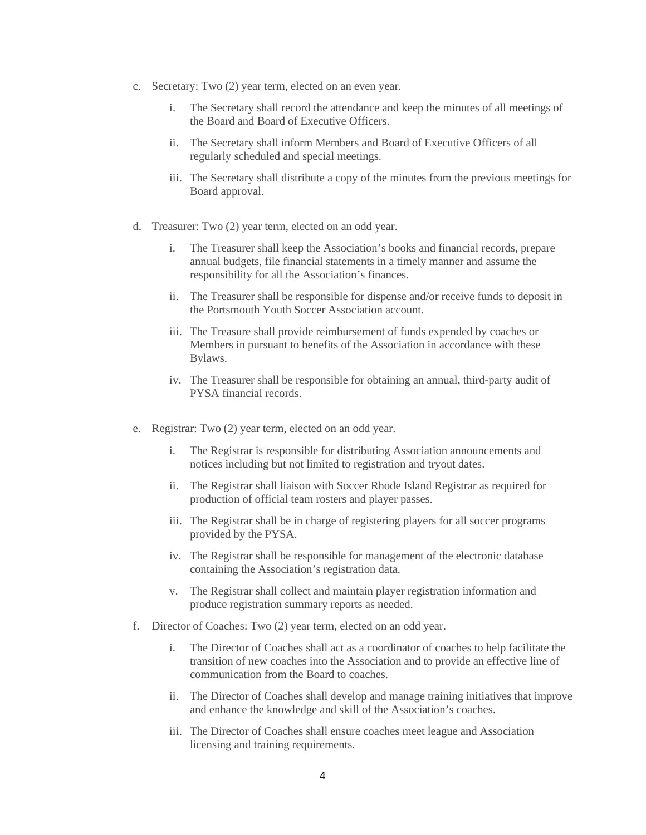- c. Secretary: Two (2) year term, elected on an even year.
	- i. The Secretary shall record the attendance and keep the minutes of all meetings of the Board and Board of Executive Officers.
	- ii. The Secretary shall inform Members and Board of Executive Officers of all regularly scheduled and special meetings.
	- iii. The Secretary shall distribute a copy of the minutes from the previous meetings for Board approval.
- d. Treasurer: Two (2) year term, elected on an odd year.
	- i. The Treasurer shall keep the Association's books and financial records, prepare annual budgets, file financial statements in a timely manner and assume the responsibility for all the Association's finances.
	- ii. The Treasurer shall be responsible for dispense and/or receive funds to deposit in the Portsmouth Youth Soccer Association account.
	- iii. The Treasure shall provide reimbursement of funds expended by coaches or Members in pursuant to benefits of the Association in accordance with these Bylaws.
	- iv. The Treasurer shall be responsible for obtaining an annual, third-party audit of PYSA financial records.
- e. Registrar: Two (2) year term, elected on an odd year.
	- i. The Registrar is responsible for distributing Association announcements and notices including but not limited to registration and tryout dates.
	- ii. The Registrar shall liaison with Soccer Rhode Island Registrar as required for production of official team rosters and player passes.
	- iii. The Registrar shall be in charge of registering players for all soccer programs provided by the PYSA.
	- iv. The Registrar shall be responsible for management of the electronic database containing the Association's registration data.
	- v. The Registrar shall collect and maintain player registration information and produce registration summary reports as needed.
- f. Director of Coaches: Two (2) year term, elected on an odd year.
	- i. The Director of Coaches shall act as a coordinator of coaches to help facilitate the transition of new coaches into the Association and to provide an effective line of communication from the Board to coaches.
	- ii. The Director of Coaches shall develop and manage training initiatives that improve and enhance the knowledge and skill of the Association's coaches.
	- iii. The Director of Coaches shall ensure coaches meet league and Association licensing and training requirements.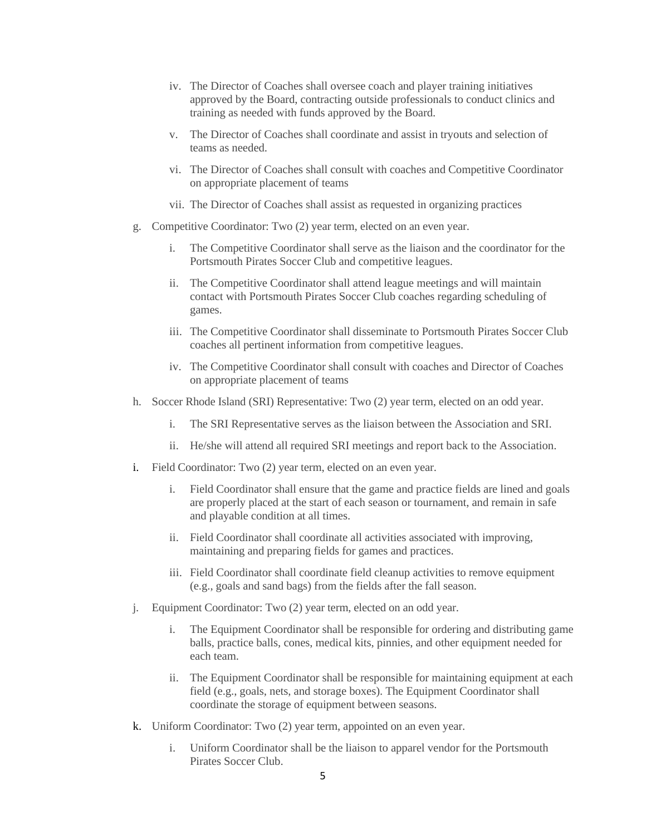- iv. The Director of Coaches shall oversee coach and player training initiatives approved by the Board, contracting outside professionals to conduct clinics and training as needed with funds approved by the Board.
- v. The Director of Coaches shall coordinate and assist in tryouts and selection of teams as needed.
- vi. The Director of Coaches shall consult with coaches and Competitive Coordinator on appropriate placement of teams
- vii. The Director of Coaches shall assist as requested in organizing practices
- g. Competitive Coordinator: Two (2) year term, elected on an even year.
	- i. The Competitive Coordinator shall serve as the liaison and the coordinator for the Portsmouth Pirates Soccer Club and competitive leagues.
	- ii. The Competitive Coordinator shall attend league meetings and will maintain contact with Portsmouth Pirates Soccer Club coaches regarding scheduling of games.
	- iii. The Competitive Coordinator shall disseminate to Portsmouth Pirates Soccer Club coaches all pertinent information from competitive leagues.
	- iv. The Competitive Coordinator shall consult with coaches and Director of Coaches on appropriate placement of teams
- h. Soccer Rhode Island (SRI) Representative: Two (2) year term, elected on an odd year.
	- i. The SRI Representative serves as the liaison between the Association and SRI.
	- ii. He/she will attend all required SRI meetings and report back to the Association.
- i. Field Coordinator: Two (2) year term, elected on an even year.
	- i. Field Coordinator shall ensure that the game and practice fields are lined and goals are properly placed at the start of each season or tournament, and remain in safe and playable condition at all times.
	- ii. Field Coordinator shall coordinate all activities associated with improving, maintaining and preparing fields for games and practices.
	- iii. Field Coordinator shall coordinate field cleanup activities to remove equipment (e.g., goals and sand bags) from the fields after the fall season.
- j. Equipment Coordinator: Two (2) year term, elected on an odd year.
	- i. The Equipment Coordinator shall be responsible for ordering and distributing game balls, practice balls, cones, medical kits, pinnies, and other equipment needed for each team.
	- ii. The Equipment Coordinator shall be responsible for maintaining equipment at each field (e.g., goals, nets, and storage boxes). The Equipment Coordinator shall coordinate the storage of equipment between seasons.
- k. Uniform Coordinator: Two (2) year term, appointed on an even year.
	- i. Uniform Coordinator shall be the liaison to apparel vendor for the Portsmouth Pirates Soccer Club.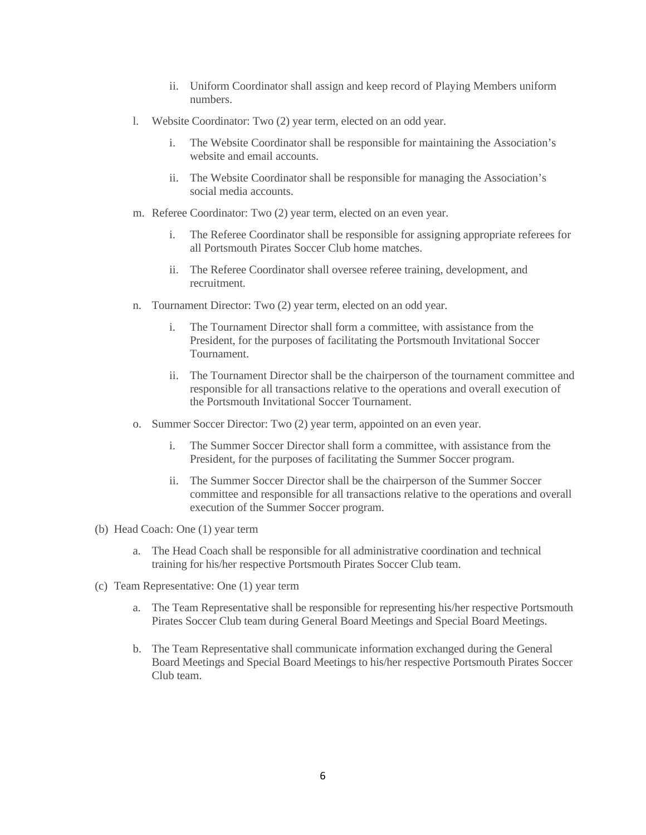- ii. Uniform Coordinator shall assign and keep record of Playing Members uniform numbers.
- l. Website Coordinator: Two (2) year term, elected on an odd year.
	- i. The Website Coordinator shall be responsible for maintaining the Association's website and email accounts.
	- ii. The Website Coordinator shall be responsible for managing the Association's social media accounts.
- m. Referee Coordinator: Two (2) year term, elected on an even year.
	- i. The Referee Coordinator shall be responsible for assigning appropriate referees for all Portsmouth Pirates Soccer Club home matches.
	- ii. The Referee Coordinator shall oversee referee training, development, and recruitment.
- n. Tournament Director: Two (2) year term, elected on an odd year.
	- i. The Tournament Director shall form a committee, with assistance from the President, for the purposes of facilitating the Portsmouth Invitational Soccer Tournament.
	- ii. The Tournament Director shall be the chairperson of the tournament committee and responsible for all transactions relative to the operations and overall execution of the Portsmouth Invitational Soccer Tournament.
- o. Summer Soccer Director: Two (2) year term, appointed on an even year.
	- i. The Summer Soccer Director shall form a committee, with assistance from the President, for the purposes of facilitating the Summer Soccer program.
	- ii. The Summer Soccer Director shall be the chairperson of the Summer Soccer committee and responsible for all transactions relative to the operations and overall execution of the Summer Soccer program.
- (b) Head Coach: One (1) year term
	- a. The Head Coach shall be responsible for all administrative coordination and technical training for his/her respective Portsmouth Pirates Soccer Club team.
- (c) Team Representative: One (1) year term
	- a. The Team Representative shall be responsible for representing his/her respective Portsmouth Pirates Soccer Club team during General Board Meetings and Special Board Meetings.
	- b. The Team Representative shall communicate information exchanged during the General Board Meetings and Special Board Meetings to his/her respective Portsmouth Pirates Soccer Club team.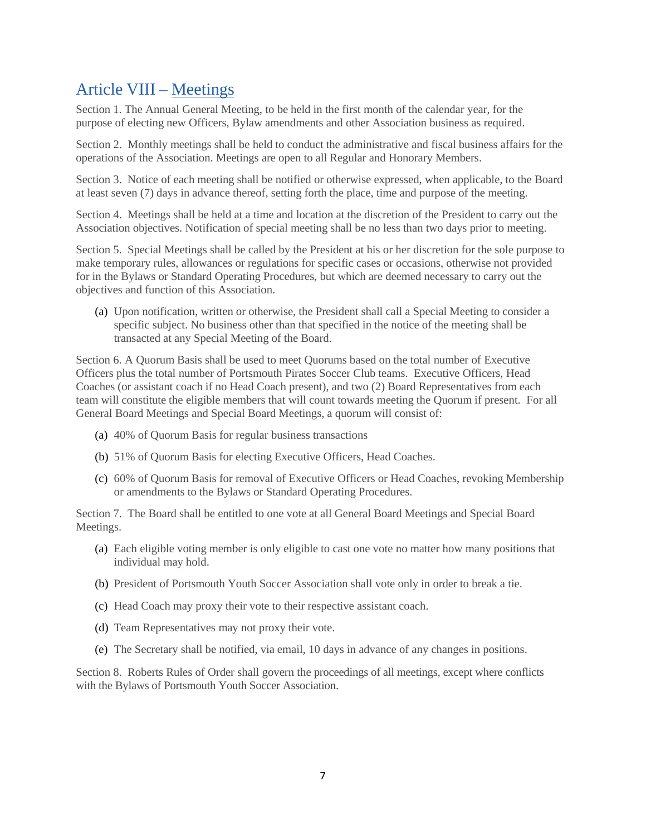## Article VIII – Meetings

Section 1. The Annual General Meeting, to be held in the first month of the calendar year, for the purpose of electing new Officers, Bylaw amendments and other Association business as required.

Section 2. Monthly meetings shall be held to conduct the administrative and fiscal business affairs for the operations of the Association. Meetings are open to all Regular and Honorary Members.

Section 3. Notice of each meeting shall be notified or otherwise expressed, when applicable, to the Board at least seven (7) days in advance thereof, setting forth the place, time and purpose of the meeting.

Section 4. Meetings shall be held at a time and location at the discretion of the President to carry out the Association objectives. Notification of special meeting shall be no less than two days prior to meeting.

Section 5. Special Meetings shall be called by the President at his or her discretion for the sole purpose to make temporary rules, allowances or regulations for specific cases or occasions, otherwise not provided for in the Bylaws or Standard Operating Procedures, but which are deemed necessary to carry out the objectives and function of this Association.

(a) Upon notification, written or otherwise, the President shall call a Special Meeting to consider a specific subject. No business other than that specified in the notice of the meeting shall be transacted at any Special Meeting of the Board.

Section 6. A Quorum Basis shall be used to meet Quorums based on the total number of Executive Officers plus the total number of Portsmouth Pirates Soccer Club teams. Executive Officers, Head Coaches (or assistant coach if no Head Coach present), and two (2) Board Representatives from each team will constitute the eligible members that will count towards meeting the Quorum if present. For all General Board Meetings and Special Board Meetings, a quorum will consist of:

- (a) 40% of Quorum Basis for regular business transactions
- (b) 51% of Quorum Basis for electing Executive Officers, Head Coaches.
- (c) 60% of Quorum Basis for removal of Executive Officers or Head Coaches, revoking Membership or amendments to the Bylaws or Standard Operating Procedures.

Section 7. The Board shall be entitled to one vote at all General Board Meetings and Special Board Meetings.

- (a) Each eligible voting member is only eligible to cast one vote no matter how many positions that individual may hold.
- (b) President of Portsmouth Youth Soccer Association shall vote only in order to break a tie.
- (c) Head Coach may proxy their vote to their respective assistant coach.
- (d) Team Representatives may not proxy their vote.
- (e) The Secretary shall be notified, via email, 10 days in advance of any changes in positions.

Section 8. Roberts Rules of Order shall govern the proceedings of all meetings, except where conflicts with the Bylaws of Portsmouth Youth Soccer Association.